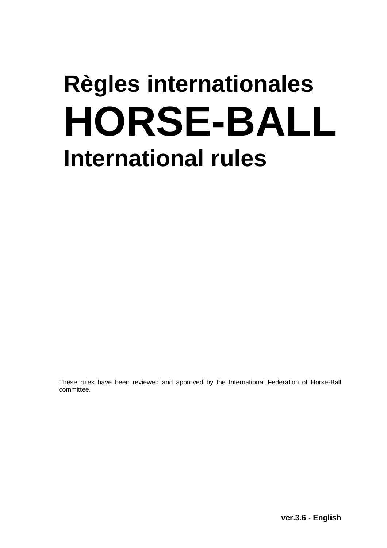# **Règles internationales HORSE-BALL International rules**

These rules have been reviewed and approved by the International Federation of Horse-Ball committee.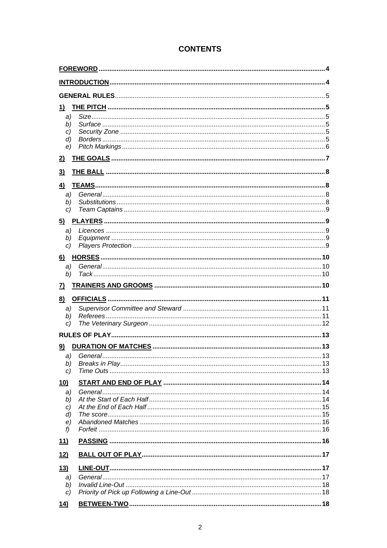| 1)                       |  |
|--------------------------|--|
| a)                       |  |
| b)                       |  |
| C)                       |  |
| $\left( d \right)$<br>e) |  |
|                          |  |
| $\overline{2}$           |  |
| $\overline{3}$           |  |
| 4)                       |  |
| a)                       |  |
| b)                       |  |
| C)                       |  |
| 5)                       |  |
| a)                       |  |
| b)                       |  |
| C)                       |  |
| 6)                       |  |
| a)                       |  |
| b)                       |  |
| <u>7)</u>                |  |
| 8)                       |  |
| a)                       |  |
| b)                       |  |
| C)                       |  |
|                          |  |
| 9)                       |  |
|                          |  |
| b)                       |  |
| C)                       |  |
| <u>10)</u>               |  |
| a)                       |  |
| b)                       |  |
| c)                       |  |
| d)                       |  |
| e)<br>f                  |  |
|                          |  |
| 11)                      |  |
| 12)                      |  |
| 13)                      |  |
| a)                       |  |
| b)                       |  |
| c)                       |  |
| <u>14)</u>               |  |

# **CONTENTS**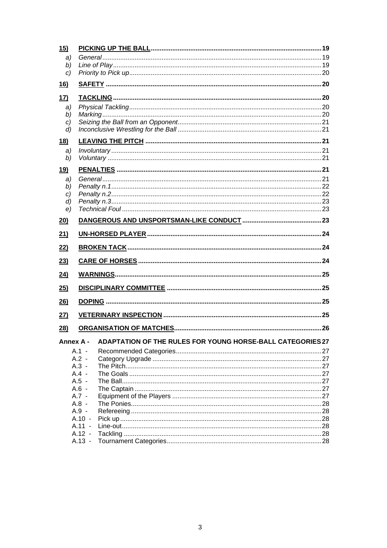| 15)                |                                                            |  |  |  |  |  |
|--------------------|------------------------------------------------------------|--|--|--|--|--|
| a)                 |                                                            |  |  |  |  |  |
| b)                 |                                                            |  |  |  |  |  |
| C)                 |                                                            |  |  |  |  |  |
| <u>16)</u>         |                                                            |  |  |  |  |  |
| <u>17)</u>         |                                                            |  |  |  |  |  |
| a)                 |                                                            |  |  |  |  |  |
| b)                 |                                                            |  |  |  |  |  |
| C)                 |                                                            |  |  |  |  |  |
| $\left( d \right)$ |                                                            |  |  |  |  |  |
| <u>18)</u>         |                                                            |  |  |  |  |  |
| a)                 |                                                            |  |  |  |  |  |
| b)                 |                                                            |  |  |  |  |  |
| <u>19)</u>         |                                                            |  |  |  |  |  |
| a)                 |                                                            |  |  |  |  |  |
| b)                 |                                                            |  |  |  |  |  |
| C)                 |                                                            |  |  |  |  |  |
| d)<br>e)           |                                                            |  |  |  |  |  |
|                    |                                                            |  |  |  |  |  |
| 20)                |                                                            |  |  |  |  |  |
| 21)                |                                                            |  |  |  |  |  |
| 22)                |                                                            |  |  |  |  |  |
| 23)                |                                                            |  |  |  |  |  |
| 24)                |                                                            |  |  |  |  |  |
| 25)                |                                                            |  |  |  |  |  |
| 26)                |                                                            |  |  |  |  |  |
| 27)                |                                                            |  |  |  |  |  |
| 28)                |                                                            |  |  |  |  |  |
| <b>Annex A -</b>   | ADAPTATION OF THE RULES FOR YOUNG HORSE-BALL CATEGORIES 27 |  |  |  |  |  |
|                    | $A.1 -$                                                    |  |  |  |  |  |
|                    | $A.2 -$                                                    |  |  |  |  |  |
|                    | $A.3 -$                                                    |  |  |  |  |  |
|                    | $A.4 -$                                                    |  |  |  |  |  |
|                    | $A.5 -$                                                    |  |  |  |  |  |
|                    | $A.6 -$<br>$A.7 -$                                         |  |  |  |  |  |
|                    | $A.8 -$                                                    |  |  |  |  |  |
|                    | $A.9 -$                                                    |  |  |  |  |  |
|                    | $A.10 -$                                                   |  |  |  |  |  |
|                    | $A.11 -$                                                   |  |  |  |  |  |
|                    | $A.12 -$<br>$A.13 -$                                       |  |  |  |  |  |
|                    |                                                            |  |  |  |  |  |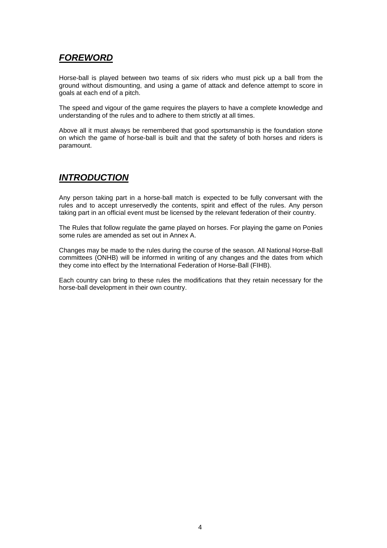# *FOREWORD*

Horse-ball is played between two teams of six riders who must pick up a ball from the ground without dismounting, and using a game of attack and defence attempt to score in goals at each end of a pitch.

The speed and vigour of the game requires the players to have a complete knowledge and understanding of the rules and to adhere to them strictly at all times.

Above all it must always be remembered that good sportsmanship is the foundation stone on which the game of horse-ball is built and that the safety of both horses and riders is paramount.

# *INTRODUCTION*

Any person taking part in a horse-ball match is expected to be fully conversant with the rules and to accept unreservedly the contents, spirit and effect of the rules. Any person taking part in an official event must be licensed by the relevant federation of their country.

The Rules that follow regulate the game played on horses. For playing the game on Ponies some rules are amended as set out in Annex A.

Changes may be made to the rules during the course of the season. All National Horse-Ball committees (ONHB) will be informed in writing of any changes and the dates from which they come into effect by the International Federation of Horse-Ball (FIHB).

Each country can bring to these rules the modifications that they retain necessary for the horse-ball development in their own country.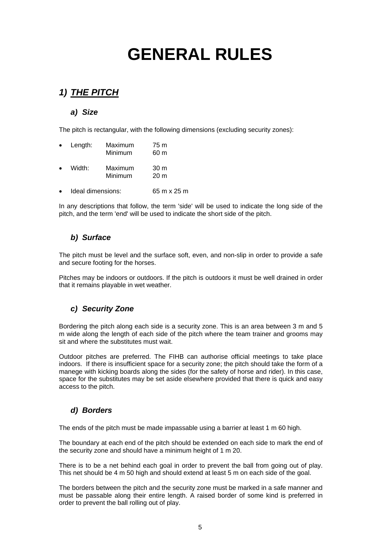# **GENERAL RULES**

# *1) THE PITCH*

#### *a) Size*

The pitch is rectangular, with the following dimensions (excluding security zones):

| $\bullet$ | Length:           | Maximum<br>Minimum | 75 m<br>60 m            |
|-----------|-------------------|--------------------|-------------------------|
| $\bullet$ | Width:            | Maximum<br>Minimum | 30 m<br>20 <sub>m</sub> |
|           | Ideal dimensions: |                    | 65 m x 25 m             |

In any descriptions that follow, the term 'side' will be used to indicate the long side of the pitch, and the term 'end' will be used to indicate the short side of the pitch.

#### *b) Surface*

The pitch must be level and the surface soft, even, and non-slip in order to provide a safe and secure footing for the horses.

Pitches may be indoors or outdoors. If the pitch is outdoors it must be well drained in order that it remains playable in wet weather.

#### *c) Security Zone*

Bordering the pitch along each side is a security zone. This is an area between 3 m and 5 m wide along the length of each side of the pitch where the team trainer and grooms may sit and where the substitutes must wait.

Outdoor pitches are preferred. The FIHB can authorise official meetings to take place indoors. If there is insufficient space for a security zone; the pitch should take the form of a manege with kicking boards along the sides (for the safety of horse and rider). In this case, space for the substitutes may be set aside elsewhere provided that there is quick and easy access to the pitch.

#### *d) Borders*

The ends of the pitch must be made impassable using a barrier at least 1 m 60 high.

The boundary at each end of the pitch should be extended on each side to mark the end of the security zone and should have a minimum height of 1 m 20.

There is to be a net behind each goal in order to prevent the ball from going out of play. This net should be 4 m 50 high and should extend at least 5 m on each side of the goal.

The borders between the pitch and the security zone must be marked in a safe manner and must be passable along their entire length. A raised border of some kind is preferred in order to prevent the ball rolling out of play.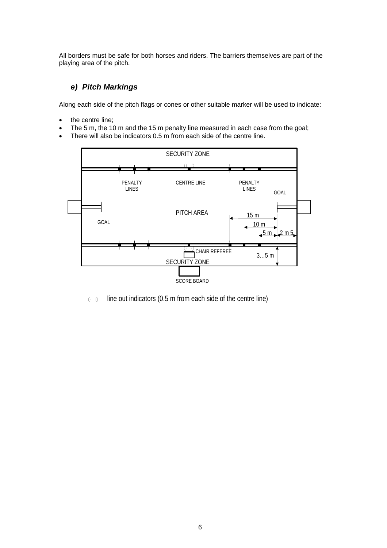All borders must be safe for both horses and riders. The barriers themselves are part of the playing area of the pitch.

#### *e) Pitch Markings*

Along each side of the pitch flags or cones or other suitable marker will be used to indicate:

- the centre line;
- The 5 m, the 10 m and the 15 m penalty line measured in each case from the goal;
- There will also be indicators 0.5 m from each side of the centre line.



line out indicators (0.5 m from each side of the centre line)  $0 \quad 0$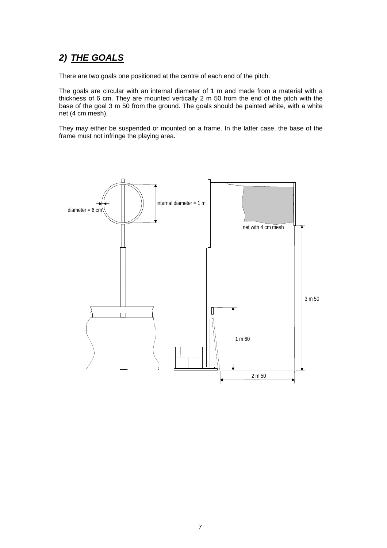# *2) THE GOALS*

There are two goals one positioned at the centre of each end of the pitch.

The goals are circular with an internal diameter of 1 m and made from a material with a thickness of 6 cm. They are mounted vertically 2 m 50 from the end of the pitch with the base of the goal 3 m 50 from the ground. The goals should be painted white, with a white net (4 cm mesh).

They may either be suspended or mounted on a frame. In the latter case, the base of the frame must not infringe the playing area.

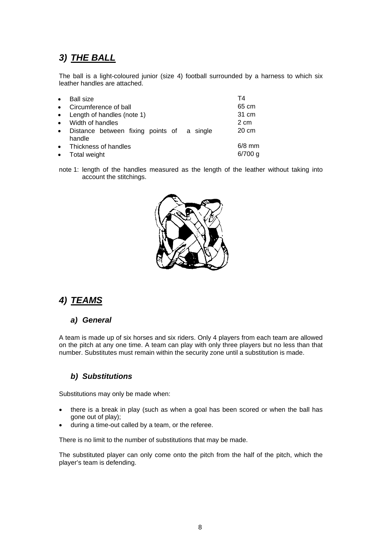# *3) THE BALL*

The ball is a light-coloured junior (size 4) football surrounded by a harness to which six leather handles are attached.

| $\bullet$ | <b>Ball size</b>                                     | Τ4        |
|-----------|------------------------------------------------------|-----------|
| $\bullet$ | Circumference of ball                                | 65 cm     |
|           | • Length of handles (note 1)                         | 31 cm     |
| $\bullet$ | Width of handles                                     | 2 cm      |
| $\bullet$ | Distance between fixing points of a single<br>handle | 20 cm     |
| $\bullet$ | Thickness of handles                                 | $6/8$ mm  |
| $\bullet$ | Total weight                                         | $6/700$ g |

note 1: length of the handles measured as the length of the leather without taking into account the stitchings.



# *4) TEAMS*

#### *a) General*

A team is made up of six horses and six riders. Only 4 players from each team are allowed on the pitch at any one time. A team can play with only three players but no less than that number. Substitutes must remain within the security zone until a substitution is made.

#### *b) Substitutions*

Substitutions may only be made when:

- there is a break in play (such as when a goal has been scored or when the ball has gone out of play);
- during a time-out called by a team, or the referee.

There is no limit to the number of substitutions that may be made.

The substituted player can only come onto the pitch from the half of the pitch, which the player's team is defending.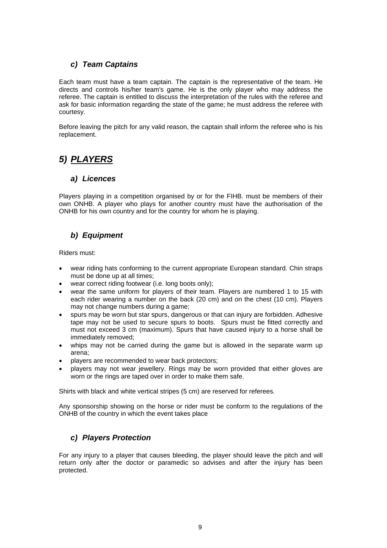#### *c) Team Captains*

Each team must have a team captain. The captain is the representative of the team. He directs and controls his/her team's game. He is the only player who may address the referee. The captain is entitled to discuss the interpretation of the rules with the referee and ask for basic information regarding the state of the game; he must address the referee with courtesy.

Before leaving the pitch for any valid reason, the captain shall inform the referee who is his replacement.

# *5) PLAYERS*

#### *a) Licences*

Players playing in a competition organised by or for the FIHB. must be members of their own ONHB. A player who plays for another country must have the authorisation of the ONHB for his own country and for the country for whom he is playing.

#### *b) Equipment*

Riders must:

- wear riding hats conforming to the current appropriate European standard. Chin straps must be done up at all times;
- wear correct riding footwear (i.e. long boots only);
- wear the same uniform for players of their team. Players are numbered 1 to 15 with each rider wearing a number on the back (20 cm) and on the chest (10 cm). Players may not change numbers during a game;
- spurs may be worn but star spurs, dangerous or that can injury are forbidden. Adhesive tape may not be used to secure spurs to boots. Spurs must be fitted correctly and must not exceed 3 cm (maximum). Spurs that have caused injury to a horse shall be immediately removed;
- whips may not be carried during the game but is allowed in the separate warm up arena;
- players are recommended to wear back protectors;
- players may not wear jewellery. Rings may be worn provided that either gloves are worn or the rings are taped over in order to make them safe.

Shirts with black and white vertical stripes (5 cm) are reserved for referees.

Any sponsorship showing on the horse or rider must be conform to the regulations of the ONHB of the country in which the event takes place

#### *c) Players Protection*

For any injury to a player that causes bleeding, the player should leave the pitch and will return only after the doctor or paramedic so advises and after the injury has been protected.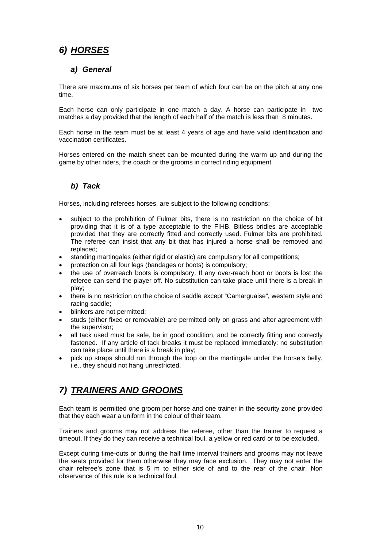# *6) HORSES*

#### *a) General*

There are maximums of six horses per team of which four can be on the pitch at any one time.

Each horse can only participate in one match a day. A horse can participate in two matches a day provided that the length of each half of the match is less than 8 minutes.

Each horse in the team must be at least 4 years of age and have valid identification and vaccination certificates.

Horses entered on the match sheet can be mounted during the warm up and during the game by other riders, the coach or the grooms in correct riding equipment.

#### *b) Tack*

Horses, including referees horses, are subject to the following conditions:

- subject to the prohibition of Fulmer bits, there is no restriction on the choice of bit providing that it is of a type acceptable to the FIHB. Bitless bridles are acceptable provided that they are correctly fitted and correctly used. Fulmer bits are prohibited. The referee can insist that any bit that has injured a horse shall be removed and replaced;
- standing martingales (either rigid or elastic) are compulsory for all competitions;
- protection on all four legs (bandages or boots) is compulsory;
- the use of overreach boots is compulsory. If any over-reach boot or boots is lost the referee can send the player off. No substitution can take place until there is a break in play;
- there is no restriction on the choice of saddle except "Camarguaise", western style and racing saddle;
- blinkers are not permitted;
- studs (either fixed or removable) are permitted only on grass and after agreement with the supervisor;
- all tack used must be safe, be in good condition, and be correctly fitting and correctly fastened. If any article of tack breaks it must be replaced immediately: no substitution can take place until there is a break in play;
- pick up straps should run through the loop on the martingale under the horse's belly, i.e., they should not hang unrestricted.

# *7) TRAINERS AND GROOMS*

Each team is permitted one groom per horse and one trainer in the security zone provided that they each wear a uniform in the colour of their team.

Trainers and grooms may not address the referee, other than the trainer to request a timeout. If they do they can receive a technical foul, a yellow or red card or to be excluded.

Except during time-outs or during the half time interval trainers and grooms may not leave the seats provided for them otherwise they may face exclusion. They may not enter the chair referee's zone that is 5 m to either side of and to the rear of the chair. Non observance of this rule is a technical foul.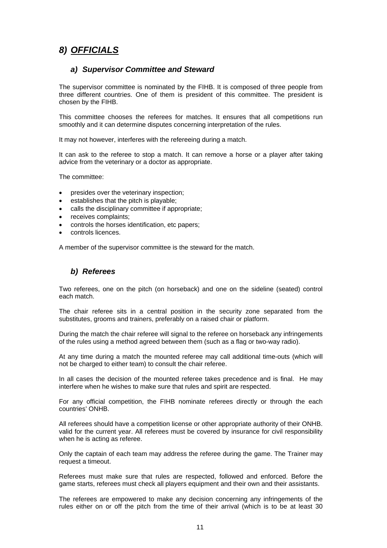# *8) OFFICIALS*

#### *a) Supervisor Committee and Steward*

The supervisor committee is nominated by the FIHB. It is composed of three people from three different countries. One of them is president of this committee. The president is chosen by the FIHB.

This committee chooses the referees for matches. It ensures that all competitions run smoothly and it can determine disputes concerning interpretation of the rules.

It may not however, interferes with the refereeing during a match.

It can ask to the referee to stop a match. It can remove a horse or a player after taking advice from the veterinary or a doctor as appropriate.

The committee:

- presides over the veterinary inspection;
- establishes that the pitch is playable;
- calls the disciplinary committee if appropriate;
- receives complaints;
- controls the horses identification, etc papers;
- controls licences.

A member of the supervisor committee is the steward for the match.

#### *b) Referees*

Two referees, one on the pitch (on horseback) and one on the sideline (seated) control each match.

The chair referee sits in a central position in the security zone separated from the substitutes, grooms and trainers, preferably on a raised chair or platform.

During the match the chair referee will signal to the referee on horseback any infringements of the rules using a method agreed between them (such as a flag or two-way radio).

At any time during a match the mounted referee may call additional time-outs (which will not be charged to either team) to consult the chair referee.

In all cases the decision of the mounted referee takes precedence and is final. He may interfere when he wishes to make sure that rules and spirit are respected.

For any official competition, the FIHB nominate referees directly or through the each countries' ONHB.

All referees should have a competition license or other appropriate authority of their ONHB. valid for the current year. All referees must be covered by insurance for civil responsibility when he is acting as referee.

Only the captain of each team may address the referee during the game. The Trainer may request a timeout.

Referees must make sure that rules are respected, followed and enforced. Before the game starts, referees must check all players equipment and their own and their assistants.

The referees are empowered to make any decision concerning any infringements of the rules either on or off the pitch from the time of their arrival (which is to be at least 30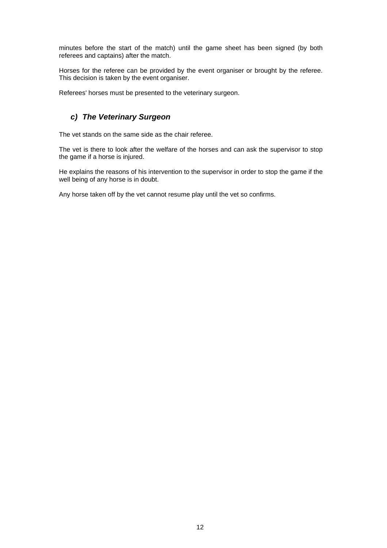minutes before the start of the match) until the game sheet has been signed (by both referees and captains) after the match.

Horses for the referee can be provided by the event organiser or brought by the referee. This decision is taken by the event organiser.

Referees' horses must be presented to the veterinary surgeon.

#### *c) The Veterinary Surgeon*

The vet stands on the same side as the chair referee.

The vet is there to look after the welfare of the horses and can ask the supervisor to stop the game if a horse is injured.

He explains the reasons of his intervention to the supervisor in order to stop the game if the well being of any horse is in doubt.

Any horse taken off by the vet cannot resume play until the vet so confirms.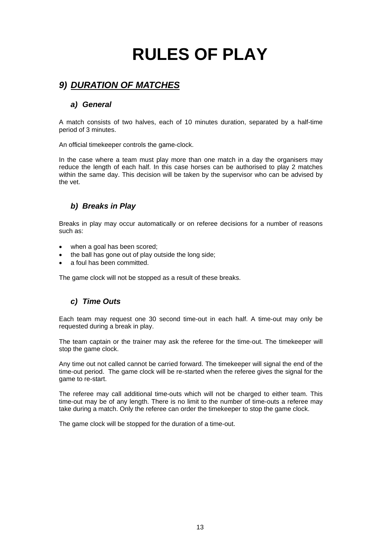# **RULES OF PLAY**

# *9) DURATION OF MATCHES*

#### *a) General*

A match consists of two halves, each of 10 minutes duration, separated by a half-time period of 3 minutes.

An official timekeeper controls the game-clock.

In the case where a team must play more than one match in a day the organisers may reduce the length of each half. In this case horses can be authorised to play 2 matches within the same day. This decision will be taken by the supervisor who can be advised by the vet.

#### *b) Breaks in Play*

Breaks in play may occur automatically or on referee decisions for a number of reasons such as:

- when a goal has been scored;
- the ball has gone out of play outside the long side:
- a foul has been committed.

The game clock will not be stopped as a result of these breaks.

#### *c) Time Outs*

Each team may request one 30 second time-out in each half. A time-out may only be requested during a break in play.

The team captain or the trainer may ask the referee for the time-out. The timekeeper will stop the game clock.

Any time out not called cannot be carried forward. The timekeeper will signal the end of the time-out period. The game clock will be re-started when the referee gives the signal for the game to re-start.

The referee may call additional time-outs which will not be charged to either team. This time-out may be of any length. There is no limit to the number of time-outs a referee may take during a match. Only the referee can order the timekeeper to stop the game clock.

The game clock will be stopped for the duration of a time-out.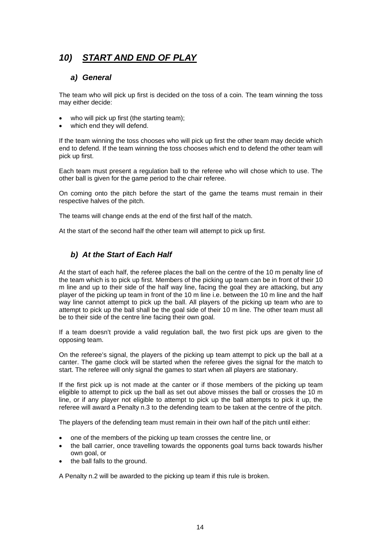# *10) START AND END OF PLAY*

#### *a) General*

The team who will pick up first is decided on the toss of a coin. The team winning the toss may either decide:

- who will pick up first (the starting team):
- which end they will defend.

If the team winning the toss chooses who will pick up first the other team may decide which end to defend. If the team winning the toss chooses which end to defend the other team will pick up first.

Each team must present a regulation ball to the referee who will chose which to use. The other ball is given for the game period to the chair referee.

On coming onto the pitch before the start of the game the teams must remain in their respective halves of the pitch.

The teams will change ends at the end of the first half of the match.

At the start of the second half the other team will attempt to pick up first.

#### *b) At the Start of Each Half*

At the start of each half, the referee places the ball on the centre of the 10 m penalty line of the team which is to pick up first. Members of the picking up team can be in front of their 10 m line and up to their side of the half way line, facing the goal they are attacking, but any player of the picking up team in front of the 10 m line i.e. between the 10 m line and the half way line cannot attempt to pick up the ball. All players of the picking up team who are to attempt to pick up the ball shall be the goal side of their 10 m line. The other team must all be to their side of the centre line facing their own goal.

If a team doesn't provide a valid regulation ball, the two first pick ups are given to the opposing team.

On the referee's signal, the players of the picking up team attempt to pick up the ball at a canter. The game clock will be started when the referee gives the signal for the match to start. The referee will only signal the games to start when all players are stationary.

If the first pick up is not made at the canter or if those members of the picking up team eligible to attempt to pick up the ball as set out above misses the ball or crosses the 10 m line, or if any player not eligible to attempt to pick up the ball attempts to pick it up, the referee will award a Penalty n.3 to the defending team to be taken at the centre of the pitch.

The players of the defending team must remain in their own half of the pitch until either:

- one of the members of the picking up team crosses the centre line, or
- the ball carrier, once travelling towards the opponents goal turns back towards his/her own goal, or
- the ball falls to the ground.

A Penalty n.2 will be awarded to the picking up team if this rule is broken.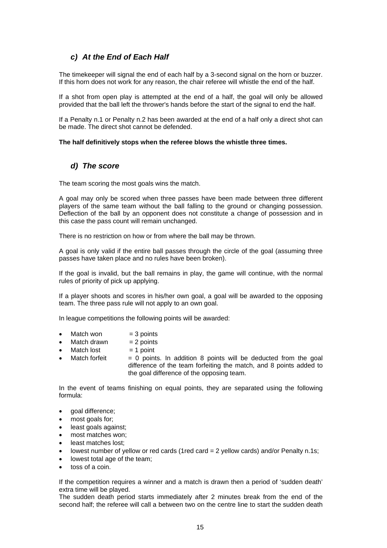#### *c) At the End of Each Half*

The timekeeper will signal the end of each half by a 3-second signal on the horn or buzzer. If this horn does not work for any reason, the chair referee will whistle the end of the half.

If a shot from open play is attempted at the end of a half, the goal will only be allowed provided that the ball left the thrower's hands before the start of the signal to end the half.

If a Penalty n.1 or Penalty n.2 has been awarded at the end of a half only a direct shot can be made. The direct shot cannot be defended.

#### **The half definitively stops when the referee blows the whistle three times.**

#### *d) The score*

The team scoring the most goals wins the match.

A goal may only be scored when three passes have been made between three different players of the same team without the ball falling to the ground or changing possession. Deflection of the ball by an opponent does not constitute a change of possession and in this case the pass count will remain unchanged.

There is no restriction on how or from where the ball may be thrown.

A goal is only valid if the entire ball passes through the circle of the goal (assuming three passes have taken place and no rules have been broken).

If the goal is invalid, but the ball remains in play, the game will continue, with the normal rules of priority of pick up applying.

If a player shoots and scores in his/her own goal, a goal will be awarded to the opposing team. The three pass rule will not apply to an own goal.

In league competitions the following points will be awarded:

- $Match$  won  $= 3$  points
- $Match drawn = 2 points$
- $Match lost = 1 point$
- Match forfeit  $= 0$  points. In addition 8 points will be deducted from the goal difference of the team forfeiting the match, and 8 points added to the goal difference of the opposing team.

In the event of teams finishing on equal points, they are separated using the following formula:

- goal difference:
- most goals for;
- least goals against;
- most matches won:
- least matches lost;
- lowest number of yellow or red cards (1red card = 2 yellow cards) and/or Penalty n.1s;
- lowest total age of the team:
- toss of a coin.

If the competition requires a winner and a match is drawn then a period of 'sudden death' extra time will be played.

The sudden death period starts immediately after 2 minutes break from the end of the second half; the referee will call a between two on the centre line to start the sudden death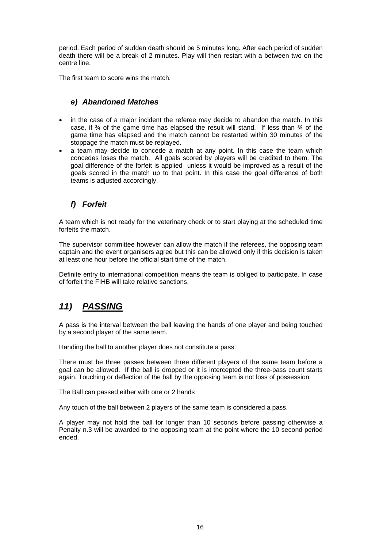period. Each period of sudden death should be 5 minutes long. After each period of sudden death there will be a break of 2 minutes. Play will then restart with a between two on the centre line.

The first team to score wins the match.

#### *e) Abandoned Matches*

- in the case of a major incident the referee may decide to abandon the match. In this case, if  $\frac{3}{4}$  of the game time has elapsed the result will stand. If less than  $\frac{3}{4}$  of the game time has elapsed and the match cannot be restarted within 30 minutes of the stoppage the match must be replayed.
- a team may decide to concede a match at any point. In this case the team which concedes loses the match. All goals scored by players will be credited to them. The goal difference of the forfeit is applied unless it would be improved as a result of the goals scored in the match up to that point. In this case the goal difference of both teams is adjusted accordingly.

#### *f) Forfeit*

A team which is not ready for the veterinary check or to start playing at the scheduled time forfeits the match.

The supervisor committee however can allow the match if the referees, the opposing team captain and the event organisers agree but this can be allowed only if this decision is taken at least one hour before the official start time of the match.

Definite entry to international competition means the team is obliged to participate. In case of forfeit the FIHB will take relative sanctions.

# *11) PASSING*

A pass is the interval between the ball leaving the hands of one player and being touched by a second player of the same team.

Handing the ball to another player does not constitute a pass.

There must be three passes between three different players of the same team before a goal can be allowed. If the ball is dropped or it is intercepted the three-pass count starts again. Touching or deflection of the ball by the opposing team is not loss of possession.

The Ball can passed either with one or 2 hands

Any touch of the ball between 2 players of the same team is considered a pass.

A player may not hold the ball for longer than 10 seconds before passing otherwise a Penalty n.3 will be awarded to the opposing team at the point where the 10-second period ended.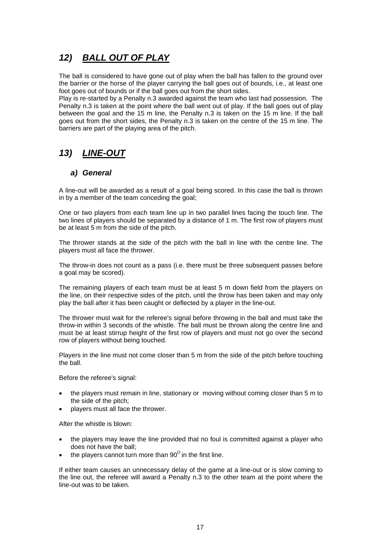# *12) BALL OUT OF PLAY*

The ball is considered to have gone out of play when the ball has fallen to the ground over the barrier or the horse of the player carrying the ball goes out of bounds, i.e., at least one foot goes out of bounds or if the ball goes out from the short sides.

Play is re-started by a Penalty n.3 awarded against the team who last had possession. The Penalty n.3 is taken at the point where the ball went out of play. If the ball goes out of play between the goal and the 15 m line, the Penalty n.3 is taken on the 15 m line. If the ball goes out from the short sides, the Penalty n.3 is taken on the centre of the 15 m line. The barriers are part of the playing area of the pitch.

# *13) LINE-OUT*

#### *a) General*

A line-out will be awarded as a result of a goal being scored. In this case the ball is thrown in by a member of the team conceding the goal;

One or two players from each team line up in two parallel lines facing the touch line. The two lines of players should be separated by a distance of 1 m. The first row of players must be at least 5 m from the side of the pitch.

The thrower stands at the side of the pitch with the ball in line with the centre line. The players must all face the thrower.

The throw-in does not count as a pass (i.e. there must be three subsequent passes before a goal may be scored).

The remaining players of each team must be at least 5 m down field from the players on the line, on their respective sides of the pitch, until the throw has been taken and may only play the ball after it has been caught or deflected by a player in the line-out.

The thrower must wait for the referee's signal before throwing in the ball and must take the throw-in within 3 seconds of the whistle. The ball must be thrown along the centre line and must be at least stirrup height of the first row of players and must not go over the second row of players without being touched.

Players in the line must not come closer than 5 m from the side of the pitch before touching the ball.

Before the referee's signal:

- the players must remain in line, stationary or moving without coming closer than 5 m to the side of the pitch;
- players must all face the thrower.

After the whistle is blown:

- the players may leave the line provided that no foul is committed against a player who does not have the ball;
- the players cannot turn more than  $90^\circ$  in the first line.

If either team causes an unnecessary delay of the game at a line-out or is slow coming to the line out, the referee will award a Penalty n.3 to the other team at the point where the line-out was to be taken.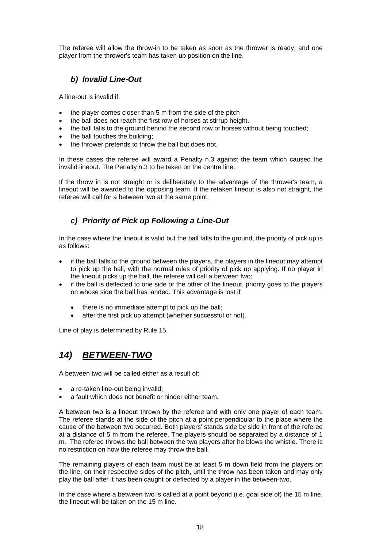The referee will allow the throw-in to be taken as soon as the thrower is ready, and one player from the thrower's team has taken up position on the line.

#### *b) Invalid Line-Out*

A line-out is invalid if:

- the player comes closer than 5 m from the side of the pitch
- the ball does not reach the first row of horses at stirrup height.
- the ball falls to the ground behind the second row of horses without being touched;
- the ball touches the building;
- the thrower pretends to throw the ball but does not.

In these cases the referee will award a Penalty n.3 against the team which caused the invalid lineout. The Penalty n.3 to be taken on the centre line.

If the throw in is not straight or is deliberately to the advantage of the thrower's team, a lineout will be awarded to the opposing team. If the retaken lineout is also not straight, the referee will call for a between two at the same point.

#### *c) Priority of Pick up Following a Line-Out*

In the case where the lineout is valid but the ball falls to the ground, the priority of pick up is as follows:

- if the ball falls to the ground between the players, the players in the lineout may attempt to pick up the ball, with the normal rules of priority of pick up applying. If no player in the lineout picks up the ball, the referee will call a between two;
- if the ball is deflected to one side or the other of the lineout, priority goes to the players on whose side the ball has landed. This advantage is lost if
	- there is no immediate attempt to pick up the ball;
	- after the first pick up attempt (whether successful or not).

Line of play is determined by Rule 15.

# *14) BETWEEN-TWO*

A between two will be called either as a result of:

- a re-taken line-out being invalid:
- a fault which does not benefit or hinder either team.

A between two is a lineout thrown by the referee and with only one player of each team. The referee stands at the side of the pitch at a point perpendicular to the place where the cause of the between two occurred. Both players' stands side by side in front of the referee at a distance of 5 m from the referee. The players should be separated by a distance of 1 m. The referee throws the ball between the two players after he blows the whistle. There is no restriction on how the referee may throw the ball.

The remaining players of each team must be at least 5 m down field from the players on the line, on their respective sides of the pitch, until the throw has been taken and may only play the ball after it has been caught or deflected by a player in the between-two.

In the case where a between two is called at a point beyond (i.e. goal side of) the 15 m line, the lineout will be taken on the 15 m line.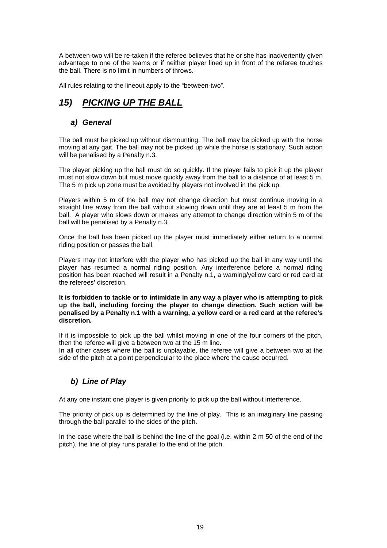A between-two will be re-taken if the referee believes that he or she has inadvertently given advantage to one of the teams or if neither player lined up in front of the referee touches the ball. There is no limit in numbers of throws.

All rules relating to the lineout apply to the "between-two".

# *15) PICKING UP THE BALL*

#### *a) General*

The ball must be picked up without dismounting. The ball may be picked up with the horse moving at any gait. The ball may not be picked up while the horse is stationary. Such action will be penalised by a Penalty n.3.

The player picking up the ball must do so quickly. If the player fails to pick it up the player must not slow down but must move quickly away from the ball to a distance of at least 5 m. The 5 m pick up zone must be avoided by players not involved in the pick up.

Players within 5 m of the ball may not change direction but must continue moving in a straight line away from the ball without slowing down until they are at least 5 m from the ball. A player who slows down or makes any attempt to change direction within 5 m of the ball will be penalised by a Penalty n.3.

Once the ball has been picked up the player must immediately either return to a normal riding position or passes the ball.

Players may not interfere with the player who has picked up the ball in any way until the player has resumed a normal riding position. Any interference before a normal riding position has been reached will result in a Penalty n.1, a warning/yellow card or red card at the referees' discretion.

**It is forbidden to tackle or to intimidate in any way a player who is attempting to pick up the ball, including forcing the player to change direction. Such action will be penalised by a Penalty n.1 with a warning, a yellow card or a red card at the referee's discretion***.*

If it is impossible to pick up the ball whilst moving in one of the four corners of the pitch, then the referee will give a between two at the 15 m line.

In all other cases where the ball is unplayable, the referee will give a between two at the side of the pitch at a point perpendicular to the place where the cause occurred.

#### *b) Line of Play*

At any one instant one player is given priority to pick up the ball without interference.

The priority of pick up is determined by the line of play. This is an imaginary line passing through the ball parallel to the sides of the pitch.

In the case where the ball is behind the line of the goal (i.e. within 2 m 50 of the end of the pitch), the line of play runs parallel to the end of the pitch.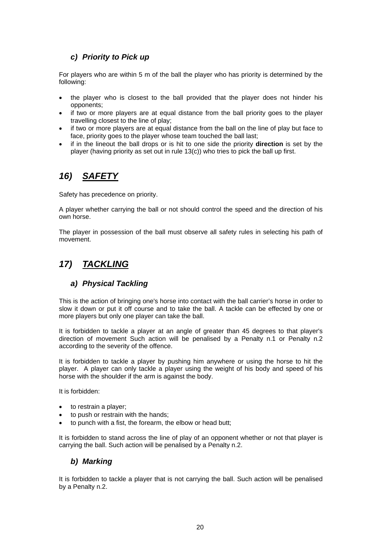#### *c) Priority to Pick up*

For players who are within 5 m of the ball the player who has priority is determined by the following:

- the player who is closest to the ball provided that the player does not hinder his opponents;
- if two or more players are at equal distance from the ball priority goes to the player travelling closest to the line of play;
- if two or more players are at equal distance from the ball on the line of play but face to face, priority goes to the player whose team touched the ball last;
- if in the lineout the ball drops or is hit to one side the priority **direction** is set by the player (having priority as set out in rule 13(c)) who tries to pick the ball up first.

# *16) SAFETY*

Safety has precedence on priority.

A player whether carrying the ball or not should control the speed and the direction of his own horse.

The player in possession of the ball must observe all safety rules in selecting his path of movement.

# *17) TACKLING*

#### *a) Physical Tackling*

This is the action of bringing one's horse into contact with the ball carrier's horse in order to slow it down or put it off course and to take the ball. A tackle can be effected by one or more players but only one player can take the ball.

It is forbidden to tackle a player at an angle of greater than 45 degrees to that player's direction of movement Such action will be penalised by a Penalty n.1 or Penalty n.2 according to the severity of the offence.

It is forbidden to tackle a player by pushing him anywhere or using the horse to hit the player. A player can only tackle a player using the weight of his body and speed of his horse with the shoulder if the arm is against the body.

It is forbidden:

- to restrain a player;
- to push or restrain with the hands;
- to punch with a fist, the forearm, the elbow or head butt;

It is forbidden to stand across the line of play of an opponent whether or not that player is carrying the ball. Such action will be penalised by a Penalty n.2.

#### *b) Marking*

It is forbidden to tackle a player that is not carrying the ball. Such action will be penalised by a Penalty n.2.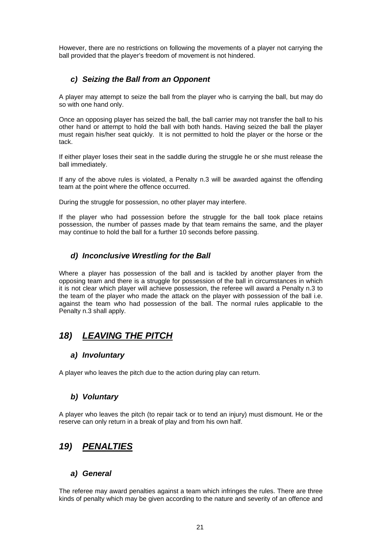However, there are no restrictions on following the movements of a player not carrying the ball provided that the player's freedom of movement is not hindered.

#### *c) Seizing the Ball from an Opponent*

A player may attempt to seize the ball from the player who is carrying the ball, but may do so with one hand only.

Once an opposing player has seized the ball, the ball carrier may not transfer the ball to his other hand or attempt to hold the ball with both hands. Having seized the ball the player must regain his/her seat quickly. It is not permitted to hold the player or the horse or the tack.

If either player loses their seat in the saddle during the struggle he or she must release the ball immediately.

If any of the above rules is violated, a Penalty n.3 will be awarded against the offending team at the point where the offence occurred.

During the struggle for possession, no other player may interfere.

If the player who had possession before the struggle for the ball took place retains possession, the number of passes made by that team remains the same, and the player may continue to hold the ball for a further 10 seconds before passing.

#### *d) Inconclusive Wrestling for the Ball*

Where a player has possession of the ball and is tackled by another player from the opposing team and there is a struggle for possession of the ball in circumstances in which it is not clear which player will achieve possession, the referee will award a Penalty n.3 to the team of the player who made the attack on the player with possession of the ball i.e. against the team who had possession of the ball. The normal rules applicable to the Penalty n.3 shall apply.

# *18) LEAVING THE PITCH*

#### *a) Involuntary*

A player who leaves the pitch due to the action during play can return.

#### *b) Voluntary*

A player who leaves the pitch (to repair tack or to tend an injury) must dismount. He or the reserve can only return in a break of play and from his own half.

# *19) PENALTIES*

#### *a) General*

The referee may award penalties against a team which infringes the rules. There are three kinds of penalty which may be given according to the nature and severity of an offence and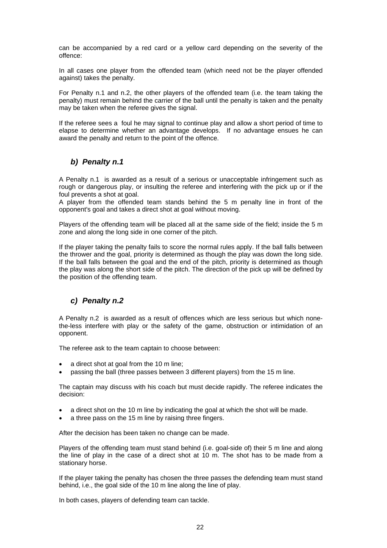can be accompanied by a red card or a yellow card depending on the severity of the offence:

In all cases one player from the offended team (which need not be the player offended against) takes the penalty.

For Penalty n.1 and n.2, the other players of the offended team (i.e. the team taking the penalty) must remain behind the carrier of the ball until the penalty is taken and the penalty may be taken when the referee gives the signal.

If the referee sees a foul he may signal to continue play and allow a short period of time to elapse to determine whether an advantage develops. If no advantage ensues he can award the penalty and return to the point of the offence.

#### *b) Penalty n.1*

A Penalty n.1 is awarded as a result of a serious or unacceptable infringement such as rough or dangerous play, or insulting the referee and interfering with the pick up or if the foul prevents a shot at goal.

A player from the offended team stands behind the 5 m penalty line in front of the opponent's goal and takes a direct shot at goal without moving.

Players of the offending team will be placed all at the same side of the field; inside the 5 m zone and along the long side in one corner of the pitch.

If the player taking the penalty fails to score the normal rules apply. If the ball falls between the thrower and the goal, priority is determined as though the play was down the long side. If the ball falls between the goal and the end of the pitch, priority is determined as though the play was along the short side of the pitch. The direction of the pick up will be defined by the position of the offending team.

#### *c) Penalty n.2*

A Penalty n.2 is awarded as a result of offences which are less serious but which nonethe-less interfere with play or the safety of the game, obstruction or intimidation of an opponent.

The referee ask to the team captain to choose between:

- a direct shot at goal from the 10 m line;
- passing the ball (three passes between 3 different players) from the 15 m line.

The captain may discuss with his coach but must decide rapidly. The referee indicates the decision:

- a direct shot on the 10 m line by indicating the goal at which the shot will be made.
- a three pass on the 15 m line by raising three fingers.

After the decision has been taken no change can be made.

Players of the offending team must stand behind (i.e. goal-side of) their 5 m line and along the line of play in the case of a direct shot at 10 m. The shot has to be made from a stationary horse.

If the player taking the penalty has chosen the three passes the defending team must stand behind, i.e., the goal side of the 10 m line along the line of play.

In both cases, players of defending team can tackle.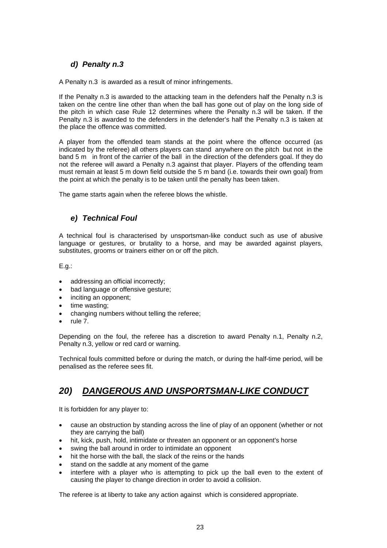#### *d) Penalty n.3*

A Penalty n.3 is awarded as a result of minor infringements.

If the Penalty n.3 is awarded to the attacking team in the defenders half the Penalty n.3 is taken on the centre line other than when the ball has gone out of play on the long side of the pitch in which case Rule 12 determines where the Penalty n.3 will be taken. If the Penalty n.3 is awarded to the defenders in the defender's half the Penalty n.3 is taken at the place the offence was committed.

A player from the offended team stands at the point where the offence occurred (as indicated by the referee) all others players can stand anywhere on the pitch but not in the band 5 m in front of the carrier of the ball in the direction of the defenders goal. If they do not the referee will award a Penalty n.3 against that player. Players of the offending team must remain at least 5 m down field outside the 5 m band (i.e. towards their own goal) from the point at which the penalty is to be taken until the penalty has been taken.

The game starts again when the referee blows the whistle.

#### *e) Technical Foul*

A technical foul is characterised by unsportsman-like conduct such as use of abusive language or gestures, or brutality to a horse, and may be awarded against players, substitutes, grooms or trainers either on or off the pitch.

E.g.:

- addressing an official incorrectly;
- bad language or offensive gesture;
- inciting an opponent;
- time wasting;
- changing numbers without telling the referee;
- rule 7.

Depending on the foul, the referee has a discretion to award Penalty n.1, Penalty n.2, Penalty n.3, yellow or red card or warning.

Technical fouls committed before or during the match, or during the half-time period, will be penalised as the referee sees fit.

# *20) DANGEROUS AND UNSPORTSMAN-LIKE CONDUCT*

It is forbidden for any player to:

- cause an obstruction by standing across the line of play of an opponent (whether or not they are carrying the ball)
- hit, kick, push, hold, intimidate or threaten an opponent or an opponent's horse
- swing the ball around in order to intimidate an opponent
- hit the horse with the ball, the slack of the reins or the hands
- stand on the saddle at any moment of the game
- interfere with a player who is attempting to pick up the ball even to the extent of causing the player to change direction in order to avoid a collision.

The referee is at liberty to take any action against which is considered appropriate.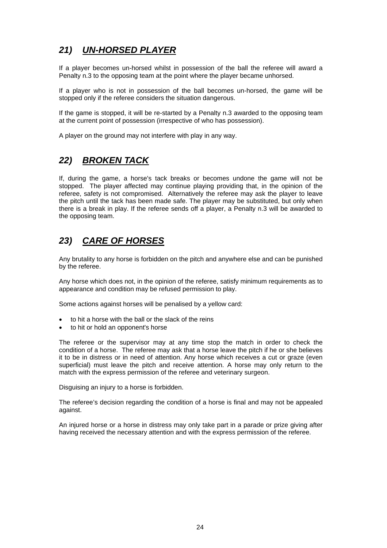# *21) UN-HORSED PLAYER*

If a player becomes un-horsed whilst in possession of the ball the referee will award a Penalty n.3 to the opposing team at the point where the player became unhorsed.

If a player who is not in possession of the ball becomes un-horsed, the game will be stopped only if the referee considers the situation dangerous.

If the game is stopped, it will be re-started by a Penalty n.3 awarded to the opposing team at the current point of possession (irrespective of who has possession).

A player on the ground may not interfere with play in any way.

# *22) BROKEN TACK*

If, during the game, a horse's tack breaks or becomes undone the game will not be stopped. The player affected may continue playing providing that, in the opinion of the referee, safety is not compromised. Alternatively the referee may ask the player to leave the pitch until the tack has been made safe. The player may be substituted, but only when there is a break in play. If the referee sends off a player, a Penalty n.3 will be awarded to the opposing team.

# *23) CARE OF HORSES*

Any brutality to any horse is forbidden on the pitch and anywhere else and can be punished by the referee.

Any horse which does not, in the opinion of the referee, satisfy minimum requirements as to appearance and condition may be refused permission to play.

Some actions against horses will be penalised by a yellow card:

- to hit a horse with the ball or the slack of the reins
- to hit or hold an opponent's horse

The referee or the supervisor may at any time stop the match in order to check the condition of a horse. The referee may ask that a horse leave the pitch if he or she believes it to be in distress or in need of attention. Any horse which receives a cut or graze (even superficial) must leave the pitch and receive attention. A horse may only return to the match with the express permission of the referee and veterinary surgeon.

Disguising an injury to a horse is forbidden.

The referee's decision regarding the condition of a horse is final and may not be appealed against.

An injured horse or a horse in distress may only take part in a parade or prize giving after having received the necessary attention and with the express permission of the referee.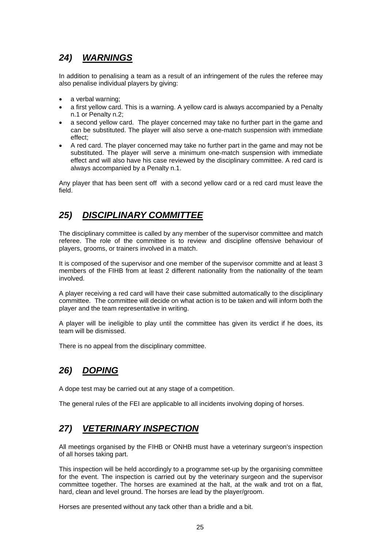# *24) WARNINGS*

In addition to penalising a team as a result of an infringement of the rules the referee may also penalise individual players by giving:

- a verbal warning;
- a first yellow card. This is a warning. A yellow card is always accompanied by a Penalty n.1 or Penalty n.2;
- a second yellow card. The player concerned may take no further part in the game and can be substituted. The player will also serve a one-match suspension with immediate effect;
- A red card. The player concerned may take no further part in the game and may not be substituted. The player will serve a minimum one-match suspension with immediate effect and will also have his case reviewed by the disciplinary committee. A red card is always accompanied by a Penalty n.1.

Any player that has been sent off with a second yellow card or a red card must leave the field.

# *25) DISCIPLINARY COMMITTEE*

The disciplinary committee is called by any member of the supervisor committee and match referee. The role of the committee is to review and discipline offensive behaviour of players, grooms, or trainers involved in a match.

It is composed of the supervisor and one member of the supervisor committe and at least 3 members of the FIHB from at least 2 different nationality from the nationality of the team involved.

A player receiving a red card will have their case submitted automatically to the disciplinary committee. The committee will decide on what action is to be taken and will inform both the player and the team representative in writing.

A player will be ineligible to play until the committee has given its verdict if he does, its team will be dismissed.

There is no appeal from the disciplinary committee.

# *26) DOPING*

A dope test may be carried out at any stage of a competition.

The general rules of the FEI are applicable to all incidents involving doping of horses.

# *27) VETERINARY INSPECTION*

All meetings organised by the FIHB or ONHB must have a veterinary surgeon's inspection of all horses taking part.

This inspection will be held accordingly to a programme set-up by the organising committee for the event. The inspection is carried out by the veterinary surgeon and the supervisor committee together. The horses are examined at the halt, at the walk and trot on a flat, hard, clean and level ground. The horses are lead by the player/groom.

Horses are presented without any tack other than a bridle and a bit.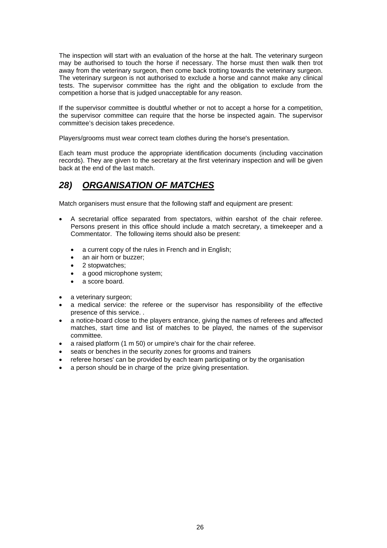The inspection will start with an evaluation of the horse at the halt. The veterinary surgeon may be authorised to touch the horse if necessary. The horse must then walk then trot away from the veterinary surgeon, then come back trotting towards the veterinary surgeon. The veterinary surgeon is not authorised to exclude a horse and cannot make any clinical tests. The supervisor committee has the right and the obligation to exclude from the competition a horse that is judged unacceptable for any reason.

If the supervisor committee is doubtful whether or not to accept a horse for a competition, the supervisor committee can require that the horse be inspected again. The supervisor committee's decision takes precedence.

Players/grooms must wear correct team clothes during the horse's presentation.

Each team must produce the appropriate identification documents (including vaccination records). They are given to the secretary at the first veterinary inspection and will be given back at the end of the last match.

# *28) ORGANISATION OF MATCHES*

Match organisers must ensure that the following staff and equipment are present:

- A secretarial office separated from spectators, within earshot of the chair referee. Persons present in this office should include a match secretary, a timekeeper and a Commentator. The following items should also be present:
	- a current copy of the rules in French and in English;
	- an air horn or buzzer;
	- 2 stopwatches;
	- a good microphone system;
	- a score board.
- a veterinary surgeon;
- a medical service: the referee or the supervisor has responsibility of the effective presence of this service. .
- a notice-board close to the players entrance, giving the names of referees and affected matches, start time and list of matches to be played, the names of the supervisor committee.
- a raised platform (1 m 50) or umpire's chair for the chair referee.
- seats or benches in the security zones for grooms and trainers
- referee horses' can be provided by each team participating or by the organisation
- a person should be in charge of the prize giving presentation.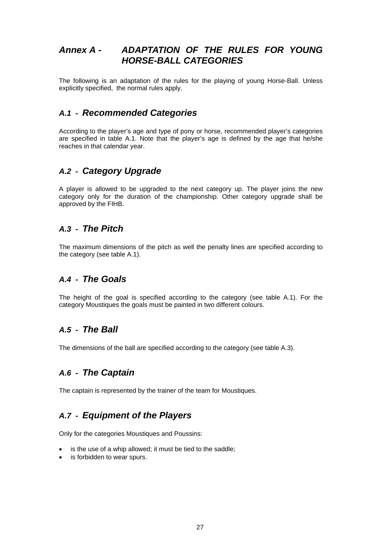# *Annex A - ADAPTATION OF THE RULES FOR YOUNG HORSE-BALL CATEGORIES*

The following is an adaptation of the rules for the playing of young Horse-Ball. Unless explicitly specified, the normal rules apply.

# *A.1 - Recommended Categories*

According to the player's age and type of pony or horse, recommended player's categories are specified in table A.1. Note that the player's age is defined by the age that he/she reaches in that calendar year.

# *A.2 - Category Upgrade*

A player is allowed to be upgraded to the next category up. The player joins the new category only for the duration of the championship. Other category upgrade shall be approved by the FIHB.

# *A.3 - The Pitch*

The maximum dimensions of the pitch as well the penalty lines are specified according to the category (see table A.1).

# *A.4 - The Goals*

The height of the goal is specified according to the category (see table A.1). For the category Moustiques the goals must be painted in two different colours.

# *A.5 - The Ball*

The dimensions of the ball are specified according to the category (see table A.3).

# *A.6 - The Captain*

The captain is represented by the trainer of the team for Moustiques.

# *A.7 - Equipment of the Players*

Only for the categories Moustiques and Poussins:

- is the use of a whip allowed; it must be tied to the saddle;
- is forbidden to wear spurs.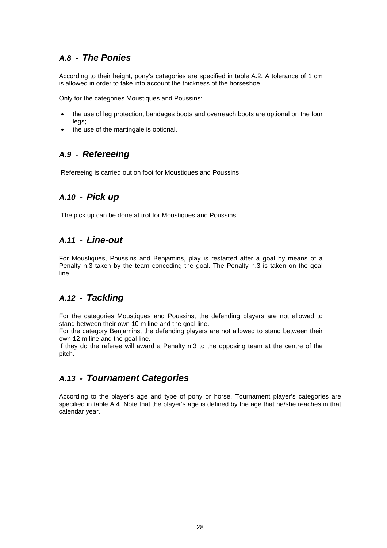# *A.8 - The Ponies*

According to their height, pony's categories are specified in table A.2. A tolerance of 1 cm is allowed in order to take into account the thickness of the horseshoe.

Only for the categories Moustiques and Poussins:

- the use of leg protection, bandages boots and overreach boots are optional on the four legs;
- the use of the martingale is optional.

# *A.9 - Refereeing*

Refereeing is carried out on foot for Moustiques and Poussins.

# *A.10 - Pick up*

The pick up can be done at trot for Moustiques and Poussins.

# *A.11 - Line-out*

For Moustiques, Poussins and Benjamins, play is restarted after a goal by means of a Penalty n.3 taken by the team conceding the goal. The Penalty n.3 is taken on the goal line.

#### *A.12 - Tackling*

For the categories Moustiques and Poussins, the defending players are not allowed to stand between their own 10 m line and the goal line.

For the category Benjamins, the defending players are not allowed to stand between their own 12 m line and the goal line.

If they do the referee will award a Penalty n.3 to the opposing team at the centre of the pitch.

# *A.13 - Tournament Categories*

According to the player's age and type of pony or horse, Tournament player's categories are specified in table A.4. Note that the player's age is defined by the age that he/she reaches in that calendar year.